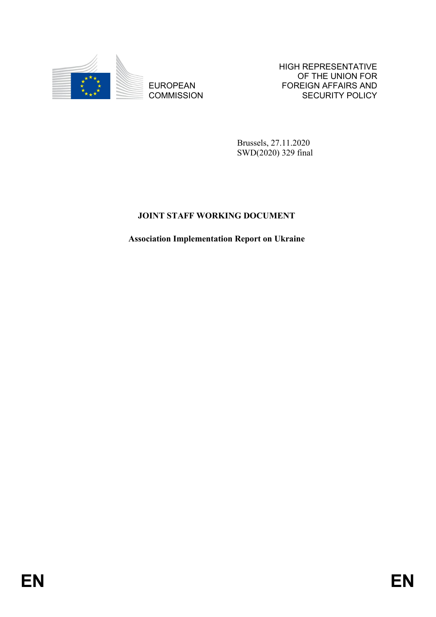

EUROPEAN **COMMISSION**  HIGH REPRESENTATIVE OF THE UNION FOR FOREIGN AFFAIRS AND SECURITY POLICY

Brussels, 27.11.2020 SWD(2020) 329 final

# **JOINT STAFF WORKING DOCUMENT**

**Association Implementation Report on Ukraine**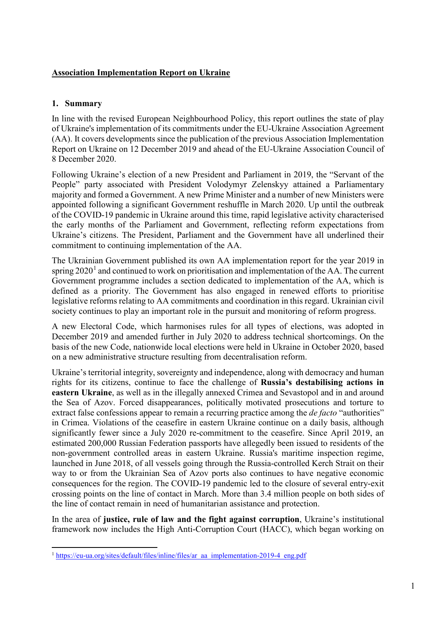## **Association Implementation Report on Ukraine**

## **1. Summary**

 $\overline{a}$ 

In line with the revised European Neighbourhood Policy, this report outlines the state of play of Ukraine's implementation of its commitments under the EU-Ukraine Association Agreement (AA). It covers developments since the publication of the previous Association Implementation Report on Ukraine on 12 December 2019 and ahead of the EU-Ukraine Association Council of 8 December 2020.

Following Ukraine's election of a new President and Parliament in 2019, the "Servant of the People" party associated with President Volodymyr Zelenskyy attained a Parliamentary majority and formed a Government. A new Prime Minister and a number of new Ministers were appointed following a significant Government reshuffle in March 2020. Up until the outbreak of the COVID-19 pandemic in Ukraine around this time, rapid legislative activity characterised the early months of the Parliament and Government, reflecting reform expectations from Ukraine's citizens. The President, Parliament and the Government have all underlined their commitment to continuing implementation of the AA.

The Ukrainian Government published its own AA implementation report for the year 2019 in spring  $2020<sup>1</sup>$  $2020<sup>1</sup>$  $2020<sup>1</sup>$  and continued to work on prioritisation and implementation of the AA. The current Government programme includes a section dedicated to implementation of the AA, which is defined as a priority. The Government has also engaged in renewed efforts to prioritise legislative reforms relating to AA commitments and coordination in this regard. Ukrainian civil society continues to play an important role in the pursuit and monitoring of reform progress.

A new Electoral Code, which harmonises rules for all types of elections, was adopted in December 2019 and amended further in July 2020 to address technical shortcomings. On the basis of the new Code, nationwide local elections were held in Ukraine in October 2020, based on a new administrative structure resulting from decentralisation reform.

Ukraine's territorial integrity, sovereignty and independence, along with democracy and human rights for its citizens, continue to face the challenge of **Russia's destabilising actions in eastern Ukraine**, as well as in the illegally annexed Crimea and Sevastopol and in and around the Sea of Azov. Forced disappearances, politically motivated prosecutions and torture to extract false confessions appear to remain a recurring practice among the *de facto* "authorities" in Crimea. Violations of the ceasefire in eastern Ukraine continue on a daily basis, although significantly fewer since a July 2020 re-commitment to the ceasefire. Since April 2019, an estimated 200,000 Russian Federation passports have allegedly been issued to residents of the non-government controlled areas in eastern Ukraine. Russia's maritime inspection regime, launched in June 2018, of all vessels going through the Russia-controlled Kerch Strait on their way to or from the Ukrainian Sea of Azov ports also continues to have negative economic consequences for the region. The COVID-19 pandemic led to the closure of several entry-exit crossing points on the line of contact in March. More than 3.4 million people on both sides of the line of contact remain in need of humanitarian assistance and protection.

In the area of **justice, rule of law and the fight against corruption**, Ukraine's institutional framework now includes the High Anti-Corruption Court (HACC), which began working on

<span id="page-1-0"></span><sup>&</sup>lt;sup>1</sup> [https://eu-ua.org/sites/default/files/inline/files/ar\\_aa\\_implementation-2019-4\\_eng.pdf](https://eu-ua.org/sites/default/files/inline/files/ar_aa_implementation-2019-4_eng.pdf)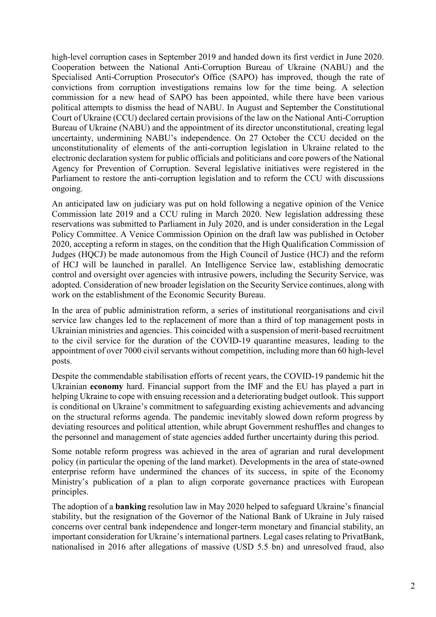high-level corruption cases in September 2019 and handed down its first verdict in June 2020. Cooperation between the National Anti-Corruption Bureau of Ukraine (NABU) and the Specialised Anti-Corruption Prosecutor's Office (SAPO) has improved, though the rate of convictions from corruption investigations remains low for the time being. A selection commission for a new head of SAPO has been appointed, while there have been various political attempts to dismiss the head of NABU. In August and September the Constitutional Court of Ukraine (CCU) declared certain provisions of the law on the National Anti-Corruption Bureau of Ukraine (NABU) and the appointment of its director unconstitutional, creating legal uncertainty, undermining NABU's independence. On 27 October the CCU decided on the unconstitutionality of elements of the anti-corruption legislation in Ukraine related to the electronic declaration system for public officials and politicians and core powers of the National Agency for Prevention of Corruption. Several legislative initiatives were registered in the Parliament to restore the anti-corruption legislation and to reform the CCU with discussions ongoing.

An anticipated law on judiciary was put on hold following a negative opinion of the Venice Commission late 2019 and a CCU ruling in March 2020. New legislation addressing these reservations was submitted to Parliament in July 2020, and is under consideration in the Legal Policy Committee. A Venice Commission Opinion on the draft law was published in October 2020, accepting a reform in stages, on the condition that the High Qualification Commission of Judges (HQCJ) be made autonomous from the High Council of Justice (HCJ) and the reform of HCJ will be launched in parallel. An Intelligence Service law, establishing democratic control and oversight over agencies with intrusive powers, including the Security Service, was adopted. Consideration of new broader legislation on the Security Service continues, along with work on the establishment of the Economic Security Bureau.

In the area of public administration reform, a series of institutional reorganisations and civil service law changes led to the replacement of more than a third of top management posts in Ukrainian ministries and agencies. This coincided with a suspension of merit-based recruitment to the civil service for the duration of the COVID-19 quarantine measures, leading to the appointment of over 7000 civil servants without competition, including more than 60 high-level posts.

Despite the commendable stabilisation efforts of recent years, the COVID-19 pandemic hit the Ukrainian **economy** hard. Financial support from the IMF and the EU has played a part in helping Ukraine to cope with ensuing recession and a deteriorating budget outlook. This support is conditional on Ukraine's commitment to safeguarding existing achievements and advancing on the structural reforms agenda. The pandemic inevitably slowed down reform progress by deviating resources and political attention, while abrupt Government reshuffles and changes to the personnel and management of state agencies added further uncertainty during this period.

Some notable reform progress was achieved in the area of agrarian and rural development policy (in particular the opening of the land market). Developments in the area of state-owned enterprise reform have undermined the chances of its success, in spite of the Economy Ministry's publication of a plan to align corporate governance practices with European principles.

The adoption of a **banking** resolution law in May 2020 helped to safeguard Ukraine's financial stability, but the resignation of the Governor of the National Bank of Ukraine in July raised concerns over central bank independence and longer-term monetary and financial stability, an important consideration for Ukraine's international partners. Legal cases relating to PrivatBank, nationalised in 2016 after allegations of massive (USD 5.5 bn) and unresolved fraud, also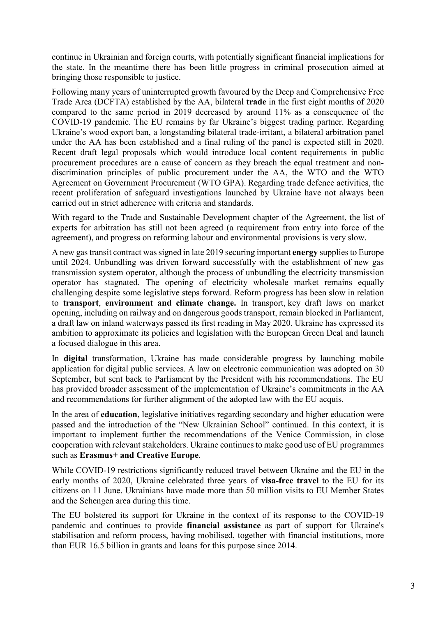continue in Ukrainian and foreign courts, with potentially significant financial implications for the state. In the meantime there has been little progress in criminal prosecution aimed at bringing those responsible to justice.

Following many years of uninterrupted growth favoured by the Deep and Comprehensive Free Trade Area (DCFTA) established by the AA, bilateral **trade** in the first eight months of 2020 compared to the same period in 2019 decreased by around 11% as a consequence of the COVID-19 pandemic. The EU remains by far Ukraine's biggest trading partner. Regarding Ukraine's wood export ban, a longstanding bilateral trade-irritant, a bilateral arbitration panel under the AA has been established and a final ruling of the panel is expected still in 2020. Recent draft legal proposals which would introduce local content requirements in public procurement procedures are a cause of concern as they breach the equal treatment and nondiscrimination principles of public procurement under the AA, the WTO and the WTO Agreement on Government Procurement (WTO GPA). Regarding trade defence activities, the recent proliferation of safeguard investigations launched by Ukraine have not always been carried out in strict adherence with criteria and standards.

With regard to the Trade and Sustainable Development chapter of the Agreement, the list of experts for arbitration has still not been agreed (a requirement from entry into force of the agreement), and progress on reforming labour and environmental provisions is very slow.

A new gas transit contract was signed in late 2019 securing important **energy** supplies to Europe until 2024. Unbundling was driven forward successfully with the establishment of new gas transmission system operator, although the process of unbundling the electricity transmission operator has stagnated. The opening of electricity wholesale market remains equally challenging despite some legislative steps forward. Reform progress has been slow in relation to **transport**, **environment and climate change.** In transport, key draft laws on market opening, including on railway and on dangerous goods transport, remain blocked in Parliament, a draft law on inland waterways passed its first reading in May 2020. Ukraine has expressed its ambition to approximate its policies and legislation with the European Green Deal and launch a focused dialogue in this area.

In **digital** transformation, Ukraine has made considerable progress by launching mobile application for digital public services. A law on electronic communication was adopted on 30 September, but sent back to Parliament by the President with his recommendations. The EU has provided broader assessment of the implementation of Ukraine's commitments in the AA and recommendations for further alignment of the adopted law with the EU acquis.

In the area of **education**, legislative initiatives regarding secondary and higher education were passed and the introduction of the "New Ukrainian School" continued. In this context, it is important to implement further the recommendations of the Venice Commission, in close cooperation with relevant stakeholders. Ukraine continues to make good use of EU programmes such as **Erasmus+ and Creative Europe**.

While COVID-19 restrictions significantly reduced travel between Ukraine and the EU in the early months of 2020, Ukraine celebrated three years of **visa-free travel** to the EU for its citizens on 11 June. Ukrainians have made more than 50 million visits to EU Member States and the Schengen area during this time.

The EU bolstered its support for Ukraine in the context of its response to the COVID-19 pandemic and continues to provide **financial assistance** as part of support for Ukraine's stabilisation and reform process, having mobilised, together with financial institutions, more than EUR 16.5 billion in grants and loans for this purpose since 2014.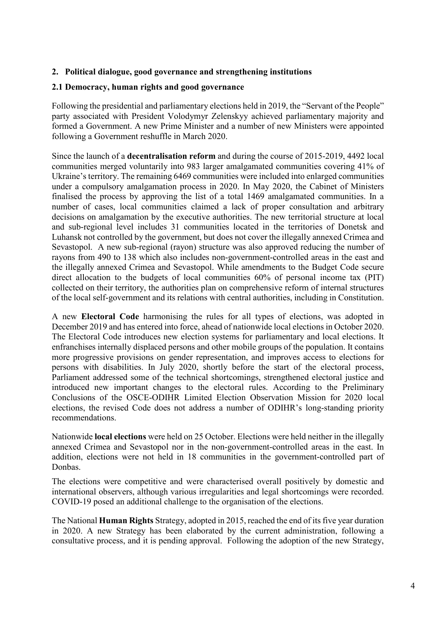## **2. Political dialogue, good governance and strengthening institutions**

#### **2.1 Democracy, human rights and good governance**

Following the presidential and parliamentary elections held in 2019, the "Servant of the People" party associated with President Volodymyr Zelenskyy achieved parliamentary majority and formed a Government. A new Prime Minister and a number of new Ministers were appointed following a Government reshuffle in March 2020.

Since the launch of a **decentralisation reform** and during the course of 2015-2019, 4492 local communities merged voluntarily into 983 larger amalgamated communities covering 41% of Ukraine's territory. The remaining 6469 communities were included into enlarged communities under a compulsory amalgamation process in 2020. In May 2020, the Cabinet of Ministers finalised the process by approving the list of a total 1469 amalgamated communities. In a number of cases, local communities claimed a lack of proper consultation and arbitrary decisions on amalgamation by the executive authorities. The new territorial structure at local and sub-regional level includes 31 communities located in the territories of Donetsk and Luhansk not controlled by the government, but does not cover the illegally annexed Crimea and Sevastopol. A new sub-regional (rayon) structure was also approved reducing the number of rayons from 490 to 138 which also includes non-government-controlled areas in the east and the illegally annexed Crimea and Sevastopol. While amendments to the Budget Code secure direct allocation to the budgets of local communities 60% of personal income tax (PIT) collected on their territory, the authorities plan on comprehensive reform of internal structures of the local self-government and its relations with central authorities, including in Constitution.

A new **Electoral Code** harmonising the rules for all types of elections, was adopted in December 2019 and has entered into force, ahead of nationwide local elections in October 2020. The Electoral Code introduces new election systems for parliamentary and local elections. It enfranchises internally displaced persons and other mobile groups of the population. It contains more progressive provisions on gender representation, and improves access to elections for persons with disabilities. In July 2020, shortly before the start of the electoral process, Parliament addressed some of the technical shortcomings, strengthened electoral justice and introduced new important changes to the electoral rules. According to the Preliminary Conclusions of the OSCE-ODIHR Limited Election Observation Mission for 2020 local elections, the revised Code does not address a number of ODIHR's long-standing priority recommendations.

Nationwide **local elections** were held on 25 October. Elections were held neither in the illegally annexed Crimea and Sevastopol nor in the non-government-controlled areas in the east. In addition, elections were not held in 18 communities in the government-controlled part of Donbas.

The elections were competitive and were characterised overall positively by domestic and international observers, although various irregularities and legal shortcomings were recorded. COVID-19 posed an additional challenge to the organisation of the elections.

The National **Human Rights** Strategy, adopted in 2015, reached the end of itsfive year duration in 2020. A new Strategy has been elaborated by the current administration, following a consultative process, and it is pending approval. Following the adoption of the new Strategy,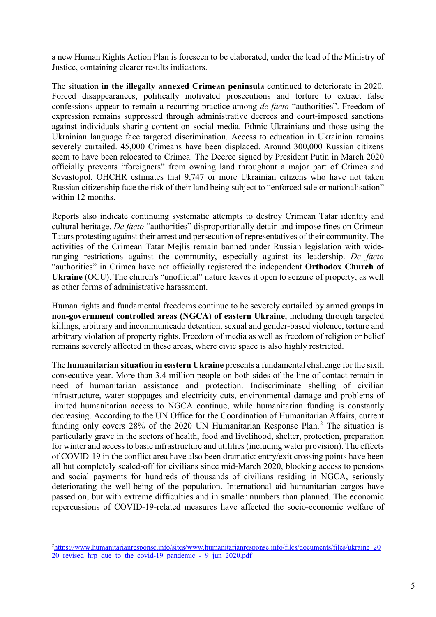a new Human Rights Action Plan is foreseen to be elaborated, under the lead of the Ministry of Justice, containing clearer results indicators.

The situation **in the illegally annexed Crimean peninsula** continued to deteriorate in 2020. Forced disappearances, politically motivated prosecutions and torture to extract false confessions appear to remain a recurring practice among *de facto* "authorities". Freedom of expression remains suppressed through administrative decrees and court-imposed sanctions against individuals sharing content on social media. Ethnic Ukrainians and those using the Ukrainian language face targeted discrimination. Access to education in Ukrainian remains severely curtailed. 45,000 Crimeans have been displaced. Around 300,000 Russian citizens seem to have been relocated to Crimea. The Decree signed by President Putin in March 2020 officially prevents "foreigners" from owning land throughout a major part of Crimea and Sevastopol. OHCHR estimates that 9,747 or more Ukrainian citizens who have not taken Russian citizenship face the risk of their land being subject to "enforced sale or nationalisation" within 12 months.

Reports also indicate continuing systematic attempts to destroy Crimean Tatar identity and cultural heritage. *De facto* "authorities" disproportionally detain and impose fines on Crimean Tatars protesting against their arrest and persecution of representatives of their community. The activities of the Crimean Tatar Mejlis remain banned under Russian legislation with wideranging restrictions against the community, especially against its leadership. *De facto* "authorities" in Crimea have not officially registered the independent **Orthodox Church of Ukraine** (OCU). The church's "unofficial" nature leaves it open to seizure of property, as well as other forms of administrative harassment.

Human rights and fundamental freedoms continue to be severely curtailed by armed groups **in non-government controlled areas (NGCA) of eastern Ukraine**, including through targeted killings, arbitrary and incommunicado detention, sexual and gender-based violence, torture and arbitrary violation of property rights. Freedom of media as well as freedom of religion or belief remains severely affected in these areas, where civic space is also highly restricted.

The **humanitarian situation in eastern Ukraine** presents a fundamental challenge for the sixth consecutive year. More than 3.4 million people on both sides of the line of contact remain in need of humanitarian assistance and protection. Indiscriminate shelling of civilian infrastructure, water stoppages and electricity cuts, environmental damage and problems of limited humanitarian access to NGCA continue, while humanitarian funding is constantly decreasing. According to the UN Office for the Coordination of Humanitarian Affairs, current funding only covers [2](#page-5-0)8% of the 2020 UN Humanitarian Response Plan.<sup>2</sup> The situation is particularly grave in the sectors of health, food and livelihood, shelter, protection, preparation for winter and accessto basic infrastructure and utilities(including water provision). The effects of COVID-19 in the conflict area have also been dramatic: entry/exit crossing points have been all but completely sealed-off for civilians since mid-March 2020, blocking access to pensions and social payments for hundreds of thousands of civilians residing in NGCA, seriously deteriorating the well-being of the population. International aid humanitarian cargos have passed on, but with extreme difficulties and in smaller numbers than planned. The economic repercussions of COVID-19-related measures have affected the socio-economic welfare of

 $\overline{a}$ 

<span id="page-5-0"></span><sup>&</sup>lt;sup>2</sup>[https://www.humanitarianresponse.info/sites/www.humanitarianresponse.info/files/documents/files/ukraine\\_20](https://www.humanitarianresponse.info/sites/www.humanitarianresponse.info/files/documents/files/ukraine_2020_revised_hrp_due_to_the_covid-19_pandemic_-_9_jun_2020.pdf) 20 revised hrp due to the covid-19 pandemic - 9 jun 2020.pdf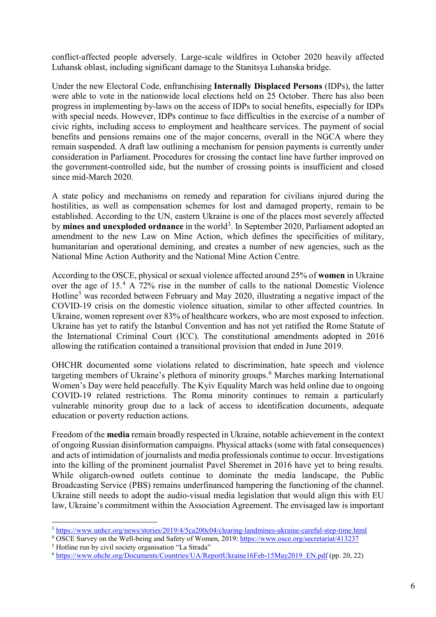conflict-affected people adversely. Large-scale wildfires in October 2020 heavily affected Luhansk oblast, including significant damage to the Stanitsya Luhanska bridge.

Under the new Electoral Code, enfranchising **Internally Displaced Persons** (IDPs), the latter were able to vote in the nationwide local elections held on 25 October. There has also been progress in implementing by-laws on the access of IDPs to social benefits, especially for IDPs with special needs. However, IDPs continue to face difficulties in the exercise of a number of civic rights, including access to employment and healthcare services. The payment of social benefits and pensions remains one of the major concerns, overall in the NGCA where they remain suspended. A draft law outlining a mechanism for pension payments is currently under consideration in Parliament. Procedures for crossing the contact line have further improved on the government-controlled side, but the number of crossing points is insufficient and closed since mid-March 2020.

A state policy and mechanisms on remedy and reparation for civilians injured during the hostilities, as well as compensation schemes for lost and damaged property, remain to be established. According to the UN, eastern Ukraine is one of the places most severely affected by mines and unexploded ordnance in the world<sup>[3](#page-6-0)</sup>. In September 2020, Parliament adopted an amendment to the new Law on Mine Action, which defines the specificities of military, humanitarian and operational demining, and creates a number of new agencies, such as the National Mine Action Authority and the National Mine Action Centre.

According to the OSCE, physical or sexual violence affected around 25% of **women** in Ukraine over the age of 15.[4](#page-6-1) A 72% rise in the number of calls to the national Domestic Violence Hotline<sup>[5](#page-6-2)</sup> was recorded between February and May 2020, illustrating a negative impact of the COVID-19 crisis on the domestic violence situation, similar to other affected countries. In Ukraine, women represent over 83% of healthcare workers, who are most exposed to infection. Ukraine has yet to ratify the Istanbul Convention and has not yet ratified the Rome Statute of the International Criminal Court (ICC). The constitutional amendments adopted in 2016 allowing the ratification contained a transitional provision that ended in June 2019.

OHCHR documented some violations related to discrimination, hate speech and violence targeting members of Ukraine's plethora of minority groups.<sup>[6](#page-6-3)</sup> Marches marking International Women's Day were held peacefully. The Kyiv Equality March was held online due to ongoing COVID-19 related restrictions. The Roma minority continues to remain a particularly vulnerable minority group due to a lack of access to identification documents, adequate education or poverty reduction actions.

Freedom of the **media** remain broadly respected in Ukraine, notable achievement in the context of ongoing Russian disinformation campaigns. Physical attacks (some with fatal consequences) and acts of intimidation of journalists and media professionals continue to occur. Investigations into the killing of the prominent journalist Pavel Sheremet in 2016 have yet to bring results. While oligarch-owned outlets continue to dominate the media landscape, the Public Broadcasting Service (PBS) remains underfinanced hampering the functioning of the channel. Ukraine still needs to adopt the audio-visual media legislation that would align this with EU law, Ukraine's commitment within the Association Agreement. The envisaged law is important

 $\overline{a}$ 

<span id="page-6-0"></span><sup>3</sup> <https://www.unhcr.org/news/stories/2019/4/5ca200c04/clearing-landmines-ukraine-careful-step-time.html>

<sup>&</sup>lt;sup>4</sup> OSCE Survey on the Well-being and Safety of Women, 2019: [https://www.osce.org/secretariat/413237](https://www.osce.org/secretariat/413237?download=true)

<span id="page-6-2"></span><span id="page-6-1"></span><sup>5</sup> Hotline run by civil society organisation "La Strada"

<span id="page-6-3"></span><sup>6</sup> [https://www.ohchr.org/Documents/Countries/UA/ReportUkraine16Feb-15May2019\\_EN.pdf](https://www.ohchr.org/Documents/Countries/UA/ReportUkraine16Feb-15May2019_EN.pdf) (pp. 20, 22)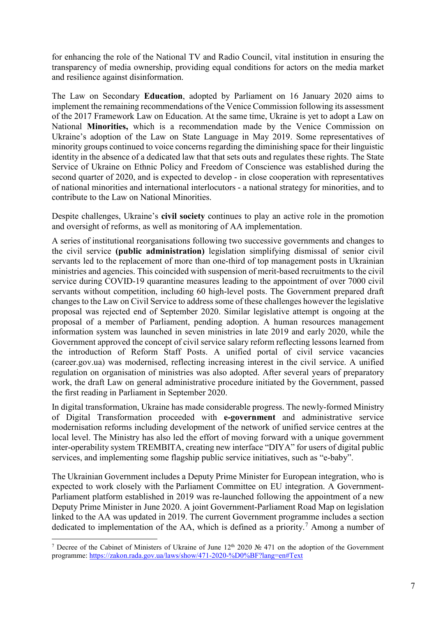for enhancing the role of the National TV and Radio Council, vital institution in ensuring the transparency of media ownership, providing equal conditions for actors on the media market and resilience against disinformation.

The Law on Secondary **Education**, adopted by Parliament on 16 January 2020 aims to implement the remaining recommendations of the Venice Commission following its assessment of the 2017 Framework Law on Education. At the same time, Ukraine is yet to adopt a Law on National **Minorities,** which is a recommendation made by the Venice Commission on Ukraine's adoption of the Law on State Language in May 2019. Some representatives of minority groups continued to voice concerns regarding the diminishing space for their linguistic identity in the absence of a dedicated law that that sets outs and regulates these rights. The State Service of Ukraine on Ethnic Policy and Freedom of Conscience was established during the second quarter of 2020, and is expected to develop - in close cooperation with representatives of national minorities and international interlocutors - a national strategy for minorities, and to contribute to the Law on National Minorities.

Despite challenges, Ukraine's **civil society** continues to play an active role in the promotion and oversight of reforms, as well as monitoring of AA implementation.

A series of institutional reorganisations following two successive governments and changes to the civil service **(public administration)** legislation simplifying dismissal of senior civil servants led to the replacement of more than one-third of top management posts in Ukrainian ministries and agencies. This coincided with suspension of merit-based recruitments to the civil service during COVID-19 quarantine measures leading to the appointment of over 7000 civil servants without competition, including 60 high-level posts. The Government prepared draft changes to the Law on Civil Service to address some of these challenges however the legislative proposal was rejected end of September 2020. Similar legislative attempt is ongoing at the proposal of a member of Parliament, pending adoption. A human resources management information system was launched in seven ministries in late 2019 and early 2020, while the Government approved the concept of civil service salary reform reflecting lessons learned from the introduction of Reform Staff Posts. A unified portal of civil service vacancies (career.gov.ua) was modernised, reflecting increasing interest in the civil service. A unified regulation on organisation of ministries was also adopted. After several years of preparatory work, the draft Law on general administrative procedure initiated by the Government, passed the first reading in Parliament in September 2020.

In digital transformation, Ukraine has made considerable progress. The newly-formed Ministry of Digital Transformation proceeded with **e-government** and administrative service modernisation reforms including development of the network of unified service centres at the local level. The Ministry has also led the effort of moving forward with a unique government inter-operability system TREMBITA, creating new interface "DIYA" for users of digital public services, and implementing some flagship public service initiatives, such as "e-baby".

The Ukrainian Government includes a Deputy Prime Minister for European integration, who is expected to work closely with the Parliament Committee on EU integration. A Government-Parliament platform established in 2019 was re-launched following the appointment of a new Deputy Prime Minister in June 2020. A joint Government-Parliament Road Map on legislation linked to the AA was updated in 2019. The current Government programme includes a section dedicated to implementation of the AA, which is defined as a priority.<sup>[7](#page-7-0)</sup> Among a number of

 $\overline{a}$ 

<span id="page-7-0"></span><sup>&</sup>lt;sup>7</sup> Decree of the Cabinet of Ministers of Ukraine of June  $12<sup>th</sup> 2020$  № 471 on the adoption of the Government programme:<https://zakon.rada.gov.ua/laws/show/471-2020-%D0%BF?lang=en#Text>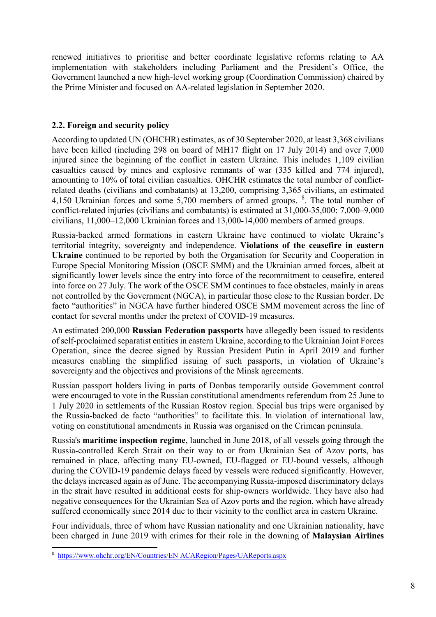renewed initiatives to prioritise and better coordinate legislative reforms relating to AA implementation with stakeholders including Parliament and the President's Office, the Government launched a new high-level working group (Coordination Commission) chaired by the Prime Minister and focused on AA-related legislation in September 2020.

## **2.2. Foreign and security policy**

According to updated UN (OHCHR) estimates, as of 30 September 2020, at least 3,368 civilians have been killed (including 298 on board of MH17 flight on 17 July 2014) and over 7,000 injured since the beginning of the conflict in eastern Ukraine. This includes 1,109 civilian casualties caused by mines and explosive remnants of war (335 killed and 774 injured), amounting to 10% of total civilian casualties. OHCHR estimates the total number of conflictrelated deaths (civilians and combatants) at 13,200, comprising 3,365 civilians, an estimated 4,150 Ukrainian forces and some 5,700 members of armed groups. <sup>[8](#page-8-0)</sup>. The total number of conflict-related injuries (civilians and combatants) is estimated at 31,000-35,000: 7,000–9,000 civilians, 11,000–12,000 Ukrainian forces and 13,000-14,000 members of armed groups.

Russia-backed armed formations in eastern Ukraine have continued to violate Ukraine's territorial integrity, sovereignty and independence. **Violations of the ceasefire in eastern Ukraine** continued to be reported by both the Organisation for Security and Cooperation in Europe Special Monitoring Mission (OSCE SMM) and the Ukrainian armed forces, albeit at significantly lower levels since the entry into force of the recommitment to ceasefire, entered into force on 27 July. The work of the OSCE SMM continues to face obstacles, mainly in areas not controlled by the Government (NGCA), in particular those close to the Russian border. De facto "authorities" in NGCA have further hindered OSCE SMM movement across the line of contact for several months under the pretext of COVID-19 measures.

An estimated 200,000 **Russian Federation passports** have allegedly been issued to residents of self-proclaimed separatist entities in eastern Ukraine, according to the Ukrainian Joint Forces Operation, since the decree signed by Russian President Putin in April 2019 and further measures enabling the simplified issuing of such passports, in violation of Ukraine's sovereignty and the objectives and provisions of the Minsk agreements.

Russian passport holders living in parts of Donbas temporarily outside Government control were encouraged to vote in the Russian constitutional amendments referendum from 25 June to 1 July 2020 in settlements of the Russian Rostov region. Special bus trips were organised by the Russia-backed de facto "authorities" to facilitate this. In violation of international law, voting on constitutional amendments in Russia was organised on the Crimean peninsula.

Russia's **maritime inspection regime**, launched in June 2018, of all vessels going through the Russia-controlled Kerch Strait on their way to or from Ukrainian Sea of Azov ports, has remained in place, affecting many EU-owned, EU-flagged or EU-bound vessels, although during the COVID-19 pandemic delays faced by vessels were reduced significantly. However, the delays increased again as of June. The accompanying Russia-imposed discriminatory delays in the strait have resulted in additional costs for ship-owners worldwide. They have also had negative consequences for the Ukrainian Sea of Azov ports and the region, which have already suffered economically since 2014 due to their vicinity to the conflict area in eastern Ukraine.

Four individuals, three of whom have Russian nationality and one Ukrainian nationality, have been charged in June 2019 with crimes for their role in the downing of **Malaysian Airlines** 

<span id="page-8-0"></span>8 [https://www.ohchr.org/EN/Countries/EN ACARegion/Pages/UAReports.aspx](https://www.ohchr.org/EN/Countries/EN%20ACARegion/Pages/UAReports.aspx)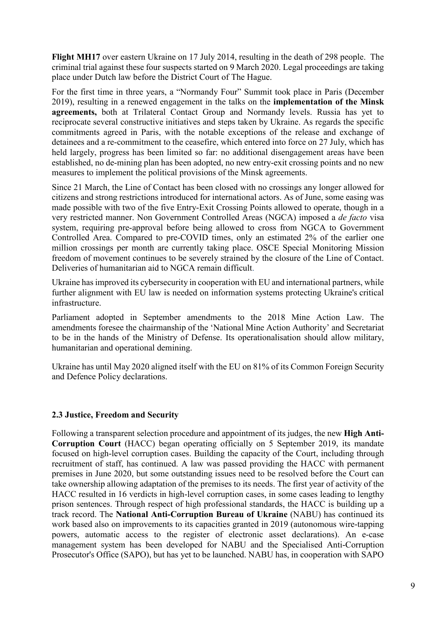**Flight MH17** over eastern Ukraine on 17 July 2014, resulting in the death of 298 people. The criminal trial against these four suspects started on 9 March 2020. Legal proceedings are taking place under Dutch law before the District Court of The Hague.

For the first time in three years, a "Normandy Four" Summit took place in Paris (December 2019), resulting in a renewed engagement in the talks on the **implementation of the Minsk agreements,** both at Trilateral Contact Group and Normandy levels. Russia has yet to reciprocate several constructive initiatives and steps taken by Ukraine. As regards the specific commitments agreed in Paris, with the notable exceptions of the release and exchange of detainees and a re-commitment to the ceasefire, which entered into force on 27 July, which has held largely, progress has been limited so far: no additional disengagement areas have been established, no de-mining plan has been adopted, no new entry-exit crossing points and no new measures to implement the political provisions of the Minsk agreements.

Since 21 March, the Line of Contact has been closed with no crossings any longer allowed for citizens and strong restrictions introduced for international actors. As of June, some easing was made possible with two of the five Entry-Exit Crossing Points allowed to operate, though in a very restricted manner. Non Government Controlled Areas (NGCA) imposed a *de facto* visa system, requiring pre-approval before being allowed to cross from NGCA to Government Controlled Area. Compared to pre-COVID times, only an estimated 2% of the earlier one million crossings per month are currently taking place. OSCE Special Monitoring Mission freedom of movement continues to be severely strained by the closure of the Line of Contact. Deliveries of humanitarian aid to NGCA remain difficult.

Ukraine has improved its cybersecurity in cooperation with EU and international partners, while further alignment with EU law is needed on information systems protecting Ukraine's critical infrastructure.

Parliament adopted in September amendments to the 2018 Mine Action Law. The amendments foresee the chairmanship of the 'National Mine Action Authority' and Secretariat to be in the hands of the Ministry of Defense. Its operationalisation should allow military, humanitarian and operational demining.

Ukraine has until May 2020 aligned itself with the EU on 81% of its Common Foreign Security and Defence Policy declarations.

## **2.3 Justice, Freedom and Security**

Following a transparent selection procedure and appointment of its judges, the new **High Anti-Corruption Court** (HACC) began operating officially on 5 September 2019, its mandate focused on high-level corruption cases. Building the capacity of the Court, including through recruitment of staff, has continued. A law was passed providing the HACC with permanent premises in June 2020, but some outstanding issues need to be resolved before the Court can take ownership allowing adaptation of the premises to its needs. The first year of activity of the HACC resulted in 16 verdicts in high-level corruption cases, in some cases leading to lengthy prison sentences. Through respect of high professional standards, the HACC is building up a track record. The **National Anti-Corruption Bureau of Ukraine** (NABU) has continued its work based also on improvements to its capacities granted in 2019 (autonomous wire-tapping powers, automatic access to the register of electronic asset declarations). An e-case management system has been developed for NABU and the Specialised Anti-Corruption Prosecutor's Office (SAPO), but has yet to be launched. NABU has, in cooperation with SAPO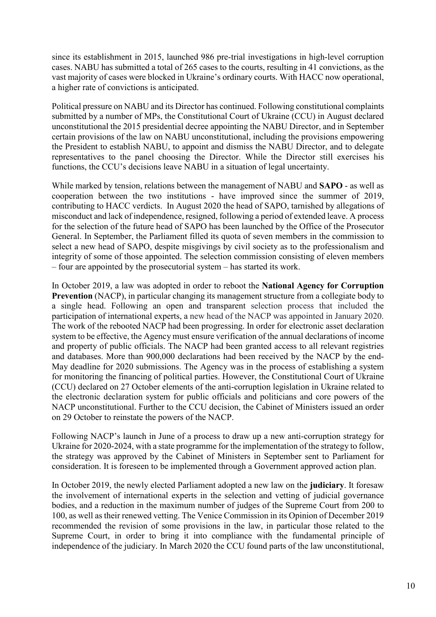since its establishment in 2015, launched 986 pre-trial investigations in high-level corruption cases. NABU has submitted a total of 265 cases to the courts, resulting in 41 convictions, as the vast majority of cases were blocked in Ukraine's ordinary courts. With HACC now operational, a higher rate of convictions is anticipated.

Political pressure on NABU and its Director has continued. Following constitutional complaints submitted by a number of MPs, the Constitutional Court of Ukraine (CCU) in August declared unconstitutional the 2015 presidential decree appointing the NABU Director, and in September certain provisions of the law on NABU unconstitutional, including the provisions empowering the President to establish NABU, to appoint and dismiss the NABU Director, and to delegate representatives to the panel choosing the Director. While the Director still exercises his functions, the CCU's decisions leave NABU in a situation of legal uncertainty.

While marked by tension, relations between the management of NABU and **SAPO** - as well as cooperation between the two institutions - have improved since the summer of 2019, contributing to HACC verdicts. In August 2020 the head of SAPO, tarnished by allegations of misconduct and lack of independence, resigned, following a period of extended leave. A process for the selection of the future head of SAPO has been launched by the Office of the Prosecutor General. In September, the Parliament filled its quota of seven members in the commission to select a new head of SAPO, despite misgivings by civil society as to the professionalism and integrity of some of those appointed. The selection commission consisting of eleven members – four are appointed by the prosecutorial system – has started its work.

In October 2019, a law was adopted in order to reboot the **National Agency for Corruption Prevention** (NACP), in particular changing its management structure from a collegiate body to a single head. Following an open and transparent selection process that included the participation of international experts, a new head of the NACP was appointed in January 2020. The work of the rebooted NACP had been progressing. In order for electronic asset declaration system to be effective, the Agency must ensure verification of the annual declarations of income and property of public officials. The NACP had been granted access to all relevant registries and databases. More than 900,000 declarations had been received by the NACP by the end-May deadline for 2020 submissions. The Agency was in the process of establishing a system for monitoring the financing of political parties. However, the Constitutional Court of Ukraine (CCU) declared on 27 October elements of the anti-corruption legislation in Ukraine related to the electronic declaration system for public officials and politicians and core powers of the NACP unconstitutional. Further to the CCU decision, the Cabinet of Ministers issued an order on 29 October to reinstate the powers of the NACP.

Following NACP's launch in June of a process to draw up a new anti-corruption strategy for Ukraine for 2020-2024, with a state programme for the implementation of the strategy to follow, the strategy was approved by the Cabinet of Ministers in September sent to Parliament for consideration. It is foreseen to be implemented through a Government approved action plan.

In October 2019, the newly elected Parliament adopted a new law on the **judiciary**. It foresaw the involvement of international experts in the selection and vetting of judicial governance bodies, and a reduction in the maximum number of judges of the Supreme Court from 200 to 100, as well as their renewed vetting. The Venice Commission in its Opinion of December 2019 recommended the revision of some provisions in the law, in particular those related to the Supreme Court, in order to bring it into compliance with the fundamental principle of independence of the judiciary. In March 2020 the CCU found parts of the law unconstitutional,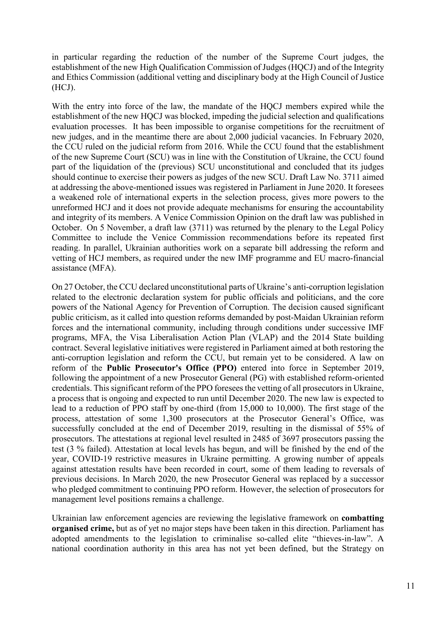in particular regarding the reduction of the number of the Supreme Court judges, the establishment of the new High Qualification Commission of Judges (HQCJ) and of the Integrity and Ethics Commission (additional vetting and disciplinary body at the High Council of Justice (HCJ).

With the entry into force of the law, the mandate of the HQCJ members expired while the establishment of the new HQCJ was blocked, impeding the judicial selection and qualifications evaluation processes. It has been impossible to organise competitions for the recruitment of new judges, and in the meantime there are about 2,000 judicial vacancies. In February 2020, the CCU ruled on the judicial reform from 2016. While the CCU found that the establishment of the new Supreme Court (SCU) was in line with the Constitution of Ukraine, the CCU found part of the liquidation of the (previous) SCU unconstitutional and concluded that its judges should continue to exercise their powers as judges of the new SCU. Draft Law No. 3711 aimed at addressing the above-mentioned issues was registered in Parliament in June 2020. It foresees a weakened role of international experts in the selection process, gives more powers to the unreformed HCJ and it does not provide adequate mechanisms for ensuring the accountability and integrity of its members. A Venice Commission Opinion on the draft law was published in October. On 5 November, a draft law (3711) was returned by the plenary to the Legal Policy Committee to include the Venice Commission recommendations before its repeated first reading. In parallel, Ukrainian authorities work on a separate bill addressing the reform and vetting of HCJ members, as required under the new IMF programme and EU macro-financial assistance (MFA).

On 27 October, the CCU declared unconstitutional parts of Ukraine's anti-corruption legislation related to the electronic declaration system for public officials and politicians, and the core powers of the National Agency for Prevention of Corruption. The decision caused significant public criticism, as it called into question reforms demanded by post-Maidan Ukrainian reform forces and the international community, including through conditions under successive IMF programs, MFA, the Visa Liberalisation Action Plan (VLAP) and the 2014 State building contract. Several legislative initiatives were registered in Parliament aimed at both restoring the anti-corruption legislation and reform the CCU, but remain yet to be considered. A law on reform of the **Public Prosecutor's Office (PPO)** entered into force in September 2019, following the appointment of a new Prosecutor General (PG) with established reform-oriented credentials. This significant reform of the PPO foresees the vetting of all prosecutors in Ukraine, a process that is ongoing and expected to run until December 2020. The new law is expected to lead to a reduction of PPO staff by one-third (from 15,000 to 10,000). The first stage of the process, attestation of some 1,300 prosecutors at the Prosecutor General's Office, was successfully concluded at the end of December 2019, resulting in the dismissal of 55% of prosecutors. The attestations at regional level resulted in 2485 of 3697 prosecutors passing the test (3 % failed). Attestation at local levels has begun, and will be finished by the end of the year, COVID-19 restrictive measures in Ukraine permitting. A growing number of appeals against attestation results have been recorded in court, some of them leading to reversals of previous decisions. In March 2020, the new Prosecutor General was replaced by a successor who pledged commitment to continuing PPO reform. However, the selection of prosecutors for management level positions remains a challenge.

Ukrainian law enforcement agencies are reviewing the legislative framework on **combatting organised crime,** but as of yet no major steps have been taken in this direction. Parliament has adopted amendments to the legislation to criminalise so-called elite "thieves-in-law". A national coordination authority in this area has not yet been defined, but the Strategy on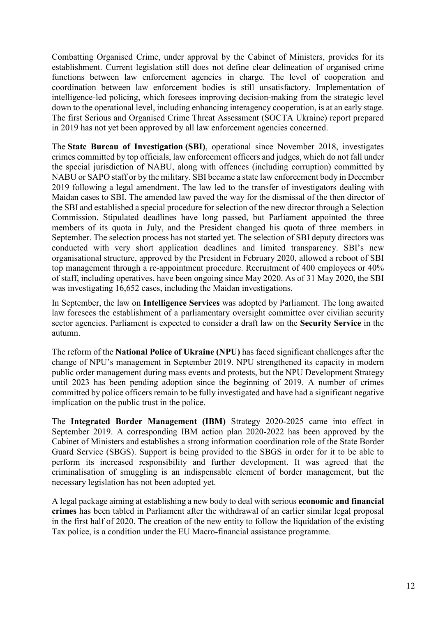Combatting Organised Crime, under approval by the Cabinet of Ministers, provides for its establishment. Current legislation still does not define clear delineation of organised crime functions between law enforcement agencies in charge. The level of cooperation and coordination between law enforcement bodies is still unsatisfactory. Implementation of intelligence-led policing, which foresees improving decision-making from the strategic level down to the operational level, including enhancing interagency cooperation, is at an early stage. The first Serious and Organised Crime Threat Assessment (SOCTA Ukraine) report prepared in 2019 has not yet been approved by all law enforcement agencies concerned.

The **State Bureau of Investigation (SBI)**, operational since November 2018, investigates crimes committed by top officials, law enforcement officers and judges, which do not fall under the special jurisdiction of NABU, along with offences (including corruption) committed by NABU or SAPO staff or by the military. SBI became a state law enforcement body in December 2019 following a legal amendment. The law led to the transfer of investigators dealing with Maidan cases to SBI. The amended law paved the way for the dismissal of the then director of the SBI and established a special procedure for selection of the new director through a Selection Commission. Stipulated deadlines have long passed, but Parliament appointed the three members of its quota in July, and the President changed his quota of three members in September. The selection process has not started yet. The selection of SBI deputy directors was conducted with very short application deadlines and limited transparency. SBI's new organisational structure, approved by the President in February 2020, allowed a reboot of SBI top management through a re-appointment procedure. Recruitment of 400 employees or 40% of staff, including operatives, have been ongoing since May 2020. As of 31 May 2020, the SBI was investigating 16,652 cases, including the Maidan investigations.

In September, the law on **Intelligence Services** was adopted by Parliament. The long awaited law foresees the establishment of a parliamentary oversight committee over civilian security sector agencies. Parliament is expected to consider a draft law on the **Security Service** in the autumn.

The reform of the **National Police of Ukraine (NPU)** has faced significant challenges after the change of NPU's management in September 2019. NPU strengthened its capacity in modern public order management during mass events and protests, but the NPU Development Strategy until 2023 has been pending adoption since the beginning of 2019. A number of crimes committed by police officers remain to be fully investigated and have had a significant negative implication on the public trust in the police.

The **Integrated Border Management (IBM)** Strategy 2020-2025 came into effect in September 2019. A corresponding IBM action plan 2020-2022 has been approved by the Cabinet of Ministers and establishes a strong information coordination role of the State Border Guard Service (SBGS). Support is being provided to the SBGS in order for it to be able to perform its increased responsibility and further development. It was agreed that the criminalisation of smuggling is an indispensable element of border management, but the necessary legislation has not been adopted yet.

A legal package aiming at establishing a new body to deal with serious **economic and financial crimes** has been tabled in Parliament after the withdrawal of an earlier similar legal proposal in the first half of 2020. The creation of the new entity to follow the liquidation of the existing Tax police, is a condition under the EU Macro-financial assistance programme.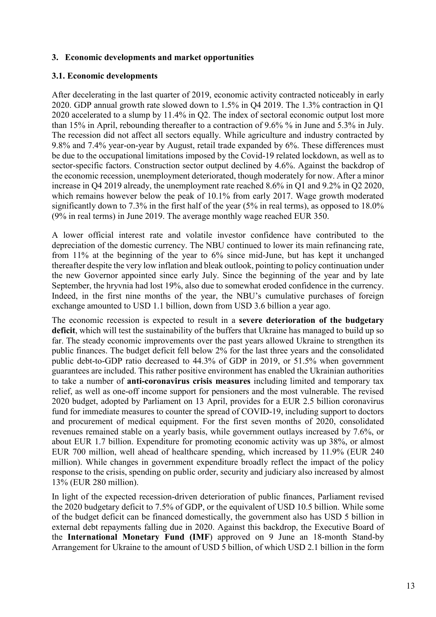#### **3. Economic developments and market opportunities**

#### **3.1. Economic developments**

After decelerating in the last quarter of 2019, economic activity contracted noticeably in early 2020. GDP annual growth rate slowed down to 1.5% in Q4 2019. The 1.3% contraction in Q1 2020 accelerated to a slump by 11.4% in Q2. The index of sectoral economic output lost more than 15% in April, rebounding thereafter to a contraction of 9.6% % in June and 5.3% in July. The recession did not affect all sectors equally. While agriculture and industry contracted by 9.8% and 7.4% year-on-year by August, retail trade expanded by 6%. These differences must be due to the occupational limitations imposed by the Covid-19 related lockdown, as well as to sector-specific factors. Construction sector output declined by 4.6%. Against the backdrop of the economic recession, unemployment deteriorated, though moderately for now. After a minor increase in Q4 2019 already, the unemployment rate reached 8.6% in Q1 and 9.2% in Q2 2020, which remains however below the peak of 10.1% from early 2017. Wage growth moderated significantly down to 7.3% in the first half of the year (5% in real terms), as opposed to 18.0% (9% in real terms) in June 2019. The average monthly wage reached EUR 350.

A lower official interest rate and volatile investor confidence have contributed to the depreciation of the domestic currency. The NBU continued to lower its main refinancing rate, from 11% at the beginning of the year to 6% since mid-June, but has kept it unchanged thereafter despite the very low inflation and bleak outlook, pointing to policy continuation under the new Governor appointed since early July. Since the beginning of the year and by late September, the hryvnia had lost 19%, also due to somewhat eroded confidence in the currency. Indeed, in the first nine months of the year, the NBU's cumulative purchases of foreign exchange amounted to USD 1.1 billion, down from USD 3.6 billion a year ago.

The economic recession is expected to result in a **severe deterioration of the budgetary deficit**, which will test the sustainability of the buffers that Ukraine has managed to build up so far. The steady economic improvements over the past years allowed Ukraine to strengthen its public finances. The budget deficit fell below 2% for the last three years and the consolidated public debt-to-GDP ratio decreased to 44.3% of GDP in 2019, or 51.5% when government guarantees are included. This rather positive environment has enabled the Ukrainian authorities to take a number of **anti-coronavirus crisis measures** including limited and temporary tax relief, as well as one-off income support for pensioners and the most vulnerable. The revised 2020 budget, adopted by Parliament on 13 April, provides for a EUR 2.5 billion coronavirus fund for immediate measures to counter the spread of COVID-19, including support to doctors and procurement of medical equipment. For the first seven months of 2020, consolidated revenues remained stable on a yearly basis, while government outlays increased by 7.6%, or about EUR 1.7 billion. Expenditure for promoting economic activity was up 38%, or almost EUR 700 million, well ahead of healthcare spending, which increased by 11.9% (EUR 240 million). While changes in government expenditure broadly reflect the impact of the policy response to the crisis, spending on public order, security and judiciary also increased by almost 13% (EUR 280 million).

In light of the expected recession-driven deterioration of public finances, Parliament revised the 2020 budgetary deficit to 7.5% of GDP, or the equivalent of USD 10.5 billion. While some of the budget deficit can be financed domestically, the government also has USD 5 billion in external debt repayments falling due in 2020. Against this backdrop, the Executive Board of the **International Monetary Fund (IMF**) approved on 9 June an 18-month Stand-by Arrangement for Ukraine to the amount of USD 5 billion, of which USD 2.1 billion in the form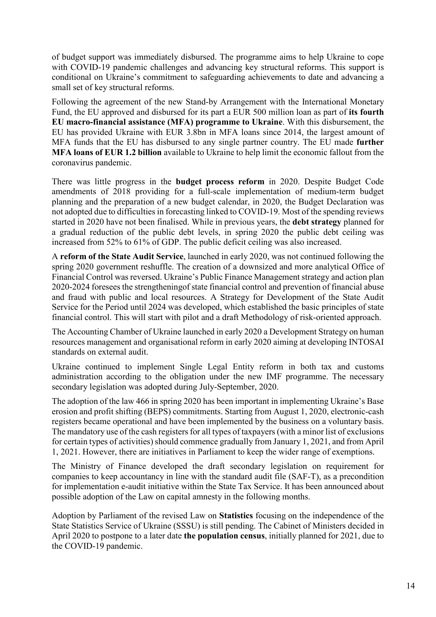of budget support was immediately disbursed. The programme aims to help Ukraine to cope with COVID-19 pandemic challenges and advancing key structural reforms. This support is conditional on Ukraine's commitment to safeguarding achievements to date and advancing a small set of key structural reforms.

Following the agreement of the new Stand-by Arrangement with the International Monetary Fund, the EU approved and disbursed for its part a EUR 500 million loan as part of **its fourth EU macro-financial assistance (MFA) programme to Ukraine**. With this disbursement, the EU has provided Ukraine with EUR 3.8bn in MFA loans since 2014, the largest amount of MFA funds that the EU has disbursed to any single partner country. The EU made **further MFA loans of EUR 1.2 billion** available to Ukraine to help limit the economic fallout from the coronavirus pandemic.

There was little progress in the **budget process reform** in 2020. Despite Budget Code amendments of 2018 providing for a full-scale implementation of medium-term budget planning and the preparation of a new budget calendar, in 2020, the Budget Declaration was not adopted due to difficulties in forecasting linked to COVID-19. Most of the spending reviews started in 2020 have not been finalised. While in previous years, the **debt strategy** planned for a gradual reduction of the public debt levels, in spring 2020 the public debt ceiling was increased from 52% to 61% of GDP. The public deficit ceiling was also increased.

A **reform of the State Audit Service**, launched in early 2020, was not continued following the spring 2020 government reshuffle. The creation of a downsized and more analytical Office of Financial Control was reversed. Ukraine's Public Finance Management strategy and action plan 2020-2024 foresees the strengtheningof state financial control and prevention of financial abuse and fraud with public and local resources. A Strategy for Development of the State Audit Service for the Period until 2024 was developed, which established the basic principles of state financial control. This will start with pilot and a draft Methodology of risk-oriented approach.

The Accounting Chamber of Ukraine launched in early 2020 a Development Strategy on human resources management and organisational reform in early 2020 aiming at developing INTOSAI standards on external audit.

Ukraine continued to implement Single Legal Entity reform in both tax and customs administration according to the obligation under the new IMF programme. The necessary secondary legislation was adopted during July-September, 2020.

The adoption of the law 466 in spring 2020 has been important in implementing Ukraine's Base erosion and profit shifting (BEPS) commitments. Starting from August 1, 2020, electronic-cash registers became operational and have been implemented by the business on a voluntary basis. The mandatory use of the cash registers for all types of taxpayers (with a minor list of exclusions for certain types of activities) should commence gradually from January 1, 2021, and from April 1, 2021. However, there are initiatives in Parliament to keep the wider range of exemptions.

The Ministry of Finance developed the draft secondary legislation on requirement for companies to keep accountancy in line with the standard audit file (SAF-T), as a precondition for implementation e-audit initiative within the State Tax Service. It has been announced about possible adoption of the Law on capital amnesty in the following months.

Adoption by Parliament of the revised Law on **Statistics** focusing on the independence of the State Statistics Service of Ukraine (SSSU) is still pending. The Cabinet of Ministers decided in April 2020 to postpone to a later date **the population census**, initially planned for 2021, due to the COVID-19 pandemic.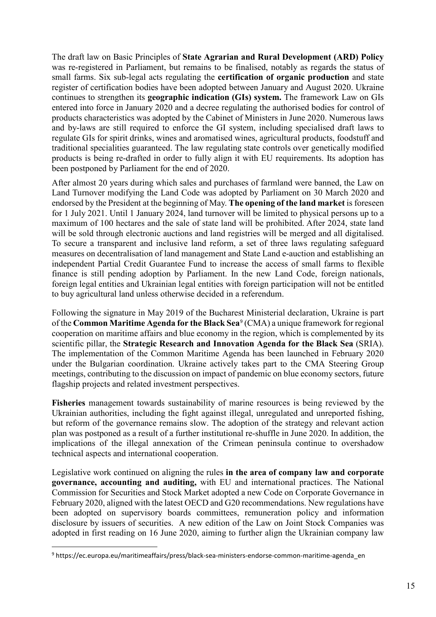The draft law on Basic Principles of **State Agrarian and Rural Development (ARD) Policy** was re-registered in Parliament, but remains to be finalised, notably as regards the status of small farms. Six sub-legal acts regulating the **certification of organic production** and state register of certification bodies have been adopted between January and August 2020. Ukraine continues to strengthen its **geographic indication (GIs) system.** The framework Law on GIs entered into force in January 2020 and a decree regulating the authorised bodies for control of products characteristics was adopted by the Cabinet of Ministers in June 2020. Numerous laws and by-laws are still required to enforce the GI system, including specialised draft laws to regulate GIs for spirit drinks, wines and aromatised wines, agricultural products, foodstuff and traditional specialities guaranteed. The law regulating state controls over genetically modified products is being re-drafted in order to fully align it with EU requirements. Its adoption has been postponed by Parliament for the end of 2020.

After almost 20 years during which sales and purchases of farmland were banned, the Law on Land Turnover modifying the Land Code was adopted by Parliament on 30 March 2020 and endorsed by the President at the beginning of May. **The opening of the land market** is foreseen for 1 July 2021. Until 1 January 2024, land turnover will be limited to physical persons up to a maximum of 100 hectares and the sale of state land will be prohibited. After 2024, state land will be sold through electronic auctions and land registries will be merged and all digitalised. To secure a transparent and inclusive land reform, a set of three laws regulating safeguard measures on decentralisation of land management and State Land e-auction and establishing an independent Partial Credit Guarantee Fund to increase the access of small farms to flexible finance is still pending adoption by Parliament. In the new Land Code, foreign nationals, foreign legal entities and Ukrainian legal entities with foreign participation will not be entitled to buy agricultural land unless otherwise decided in a referendum.

Following the signature in May 2019 of the Bucharest Ministerial declaration, Ukraine is part of the **Common Maritime Agenda for the Black Sea**[9](#page-15-0) (CMA) a unique framework for regional cooperation on maritime affairs and blue economy in the region, which is complemented by its scientific pillar, the **Strategic Research and Innovation Agenda for the Black Sea** (SRIA). The implementation of the Common Maritime Agenda has been launched in February 2020 under the Bulgarian coordination. Ukraine actively takes part to the CMA Steering Group meetings, contributing to the discussion on impact of pandemic on blue economy sectors, future flagship projects and related investment perspectives.

**Fisheries** management towards sustainability of marine resources is being reviewed by the Ukrainian authorities, including the fight against illegal, unregulated and unreported fishing, but reform of the governance remains slow. The adoption of the strategy and relevant action plan was postponed as a result of a further institutional re-shuffle in June 2020. In addition, the implications of the illegal annexation of the Crimean peninsula continue to overshadow technical aspects and international cooperation.

Legislative work continued on aligning the rules **in the area of company law and corporate governance, accounting and auditing,** with EU and international practices. The National Commission for Securities and Stock Market adopted a new Code on Corporate Governance in February 2020, aligned with the latest OECD and G20 recommendations. New regulations have been adopted on supervisory boards committees, remuneration policy and information disclosure by issuers of securities. A new edition of the Law on Joint Stock Companies was adopted in first reading on 16 June 2020, aiming to further align the Ukrainian company law

<span id="page-15-0"></span> <sup>9</sup> https://ec.europa.eu/maritimeaffairs/press/black-sea-ministers-endorse-common-maritime-agenda\_en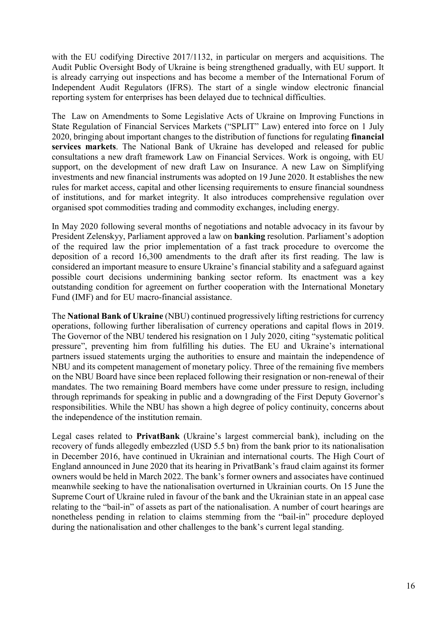with the EU codifying Directive 2017/1132, in particular on mergers and acquisitions. The Audit Public Oversight Body of Ukraine is being strengthened gradually, with EU support. It is already carrying out inspections and has become a member of the International Forum of Independent Audit Regulators (IFRS). The start of a single window electronic financial reporting system for enterprises has been delayed due to technical difficulties.

The Law on Amendments to Some Legislative Acts of Ukraine on Improving Functions in State Regulation of Financial Services Markets ("SPLIT" Law) entered into force on 1 July 2020, bringing about important changes to the distribution of functions for regulating **financial services markets**. The National Bank of Ukraine has developed and released for public consultations a new draft framework Law on Financial Services. Work is ongoing, with EU support, on the development of new draft Law on Insurance. A new Law on Simplifying investments and new financial instruments was adopted on 19 June 2020. It establishes the new rules for market access, capital and other licensing requirements to ensure financial soundness of institutions, and for market integrity. It also introduces comprehensive regulation over organised spot commodities trading and commodity exchanges, including energy.

In May 2020 following several months of negotiations and notable advocacy in its favour by President Zelenskyy, Parliament approved a law on **banking** resolution. Parliament's adoption of the required law the prior implementation of a fast track procedure to overcome the deposition of a record 16,300 amendments to the draft after its first reading. The law is considered an important measure to ensure Ukraine's financial stability and a safeguard against possible court decisions undermining banking sector reform. Its enactment was a key outstanding condition for agreement on further cooperation with the International Monetary Fund (IMF) and for EU macro-financial assistance.

The **National Bank of Ukraine** (NBU) continued progressively lifting restrictions for currency operations, following further liberalisation of currency operations and capital flows in 2019. The Governor of the NBU tendered his resignation on 1 July 2020, citing "systematic political pressure", preventing him from fulfilling his duties. The EU and Ukraine's international partners issued statements urging the authorities to ensure and maintain the independence of NBU and its competent management of monetary policy. Three of the remaining five members on the NBU Board have since been replaced following their resignation or non-renewal of their mandates. The two remaining Board members have come under pressure to resign, including through reprimands for speaking in public and a downgrading of the First Deputy Governor's responsibilities. While the NBU has shown a high degree of policy continuity, concerns about the independence of the institution remain.

Legal cases related to **PrivatBank** (Ukraine's largest commercial bank), including on the recovery of funds allegedly embezzled (USD 5.5 bn) from the bank prior to its nationalisation in December 2016, have continued in Ukrainian and international courts. The High Court of England announced in June 2020 that its hearing in PrivatBank's fraud claim against its former owners would be held in March 2022. The bank's former owners and associates have continued meanwhile seeking to have the nationalisation overturned in Ukrainian courts. On 15 June the Supreme Court of Ukraine ruled in favour of the bank and the Ukrainian state in an appeal case relating to the "bail-in" of assets as part of the nationalisation. A number of court hearings are nonetheless pending in relation to claims stemming from the "bail-in" procedure deployed during the nationalisation and other challenges to the bank's current legal standing.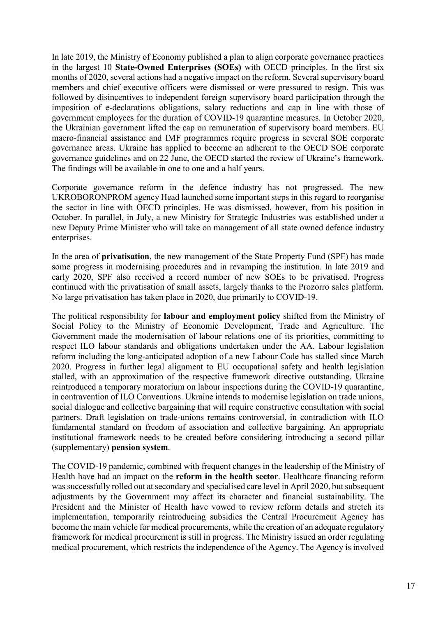In late 2019, the Ministry of Economy published a plan to align corporate governance practices in the largest 10 **State-Owned Enterprises (SOEs)** with OECD principles. In the first six months of 2020, several actions had a negative impact on the reform. Several supervisory board members and chief executive officers were dismissed or were pressured to resign. This was followed by disincentives to independent foreign supervisory board participation through the imposition of e-declarations obligations, salary reductions and cap in line with those of government employees for the duration of COVID-19 quarantine measures. In October 2020, the Ukrainian government lifted the cap on remuneration of supervisory board members. EU macro-financial assistance and IMF programmes require progress in several SOE corporate governance areas. Ukraine has applied to become an adherent to the OECD SOE corporate governance guidelines and on 22 June, the OECD started the review of Ukraine's framework. The findings will be available in one to one and a half years.

Corporate governance reform in the defence industry has not progressed. The new UKROBORONPROM agency Head launched some important steps in this regard to reorganise the sector in line with OECD principles. He was dismissed, however, from his position in October. In parallel, in July, a new Ministry for Strategic Industries was established under a new Deputy Prime Minister who will take on management of all state owned defence industry enterprises.

In the area of **privatisation**, the new management of the State Property Fund (SPF) has made some progress in modernising procedures and in revamping the institution. In late 2019 and early 2020, SPF also received a record number of new SOEs to be privatised. Progress continued with the privatisation of small assets, largely thanks to the Prozorro sales platform. No large privatisation has taken place in 2020, due primarily to COVID-19.

The political responsibility for **labour and employment policy** shifted from the Ministry of Social Policy to the Ministry of Economic Development, Trade and Agriculture. The Government made the modernisation of labour relations one of its priorities, committing to respect ILO labour standards and obligations undertaken under the AA. Labour legislation reform including the long-anticipated adoption of a new Labour Code has stalled since March 2020. Progress in further legal alignment to EU occupational safety and health legislation stalled, with an approximation of the respective framework directive outstanding. Ukraine reintroduced a temporary moratorium on labour inspections during the COVID-19 quarantine, in contravention of ILO Conventions. Ukraine intends to modernise legislation on trade unions, social dialogue and collective bargaining that will require constructive consultation with social partners. Draft legislation on trade-unions remains controversial, in contradiction with ILO fundamental standard on freedom of association and collective bargaining. An appropriate institutional framework needs to be created before considering introducing a second pillar (supplementary) **pension system**.

The COVID-19 pandemic, combined with frequent changes in the leadership of the Ministry of Health have had an impact on the **reform in the health sector**. Healthcare financing reform was successfully rolled out at secondary and specialised care level in April 2020, but subsequent adjustments by the Government may affect its character and financial sustainability. The President and the Minister of Health have vowed to review reform details and stretch its implementation, temporarily reintroducing subsidies the Central Procurement Agency has become the main vehicle for medical procurements, while the creation of an adequate regulatory framework for medical procurement is still in progress. The Ministry issued an order regulating medical procurement, which restricts the independence of the Agency. The Agency is involved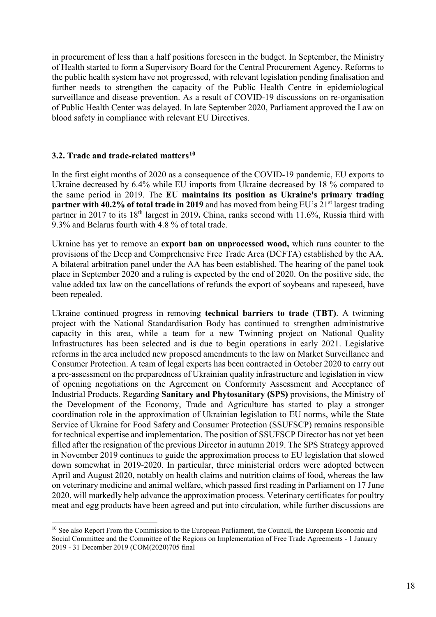in procurement of less than a half positions foreseen in the budget. In September, the Ministry of Health started to form a Supervisory Board for the Central Procurement Agency. Reforms to the public health system have not progressed, with relevant legislation pending finalisation and further needs to strengthen the capacity of the Public Health Centre in epidemiological surveillance and disease prevention. As a result of COVID-19 discussions on re-organisation of Public Health Center was delayed. In late September 2020, Parliament approved the Law on blood safety in compliance with relevant EU Directives.

## **3.2. Trade and trade-related matters[10](#page-18-0)**

 $\overline{a}$ 

In the first eight months of 2020 as a consequence of the COVID-19 pandemic, EU exports to Ukraine decreased by 6.4% while EU imports from Ukraine decreased by 18 % compared to the same period in 2019. The **EU maintains its position as Ukraine's primary trading partner with 40.2% of total trade in 2019** and has moved from being EU's 21<sup>st</sup> largest trading partner in 2017 to its 18<sup>th</sup> largest in 2019. China, ranks second with 11.6%, Russia third with 9.3% and Belarus fourth with 4.8 % of total trade.

Ukraine has yet to remove an **export ban on unprocessed wood,** which runs counter to the provisions of the Deep and Comprehensive Free Trade Area (DCFTA) established by the AA. A bilateral arbitration panel under the AA has been established. The hearing of the panel took place in September 2020 and a ruling is expected by the end of 2020. On the positive side, the value added tax law on the cancellations of refunds the export of soybeans and rapeseed, have been repealed.

Ukraine continued progress in removing **technical barriers to trade (TBT)**. A twinning project with the National Standardisation Body has continued to strengthen administrative capacity in this area, while a team for a new Twinning project on National Quality Infrastructures has been selected and is due to begin operations in early 2021. Legislative reforms in the area included new proposed amendments to the law on Market Surveillance and Consumer Protection. A team of legal experts has been contracted in October 2020 to carry out a pre-assessment on the preparedness of Ukrainian quality infrastructure and legislation in view of opening negotiations on the Agreement on Conformity Assessment and Acceptance of Industrial Products. Regarding **Sanitary and Phytosanitary (SPS)** provisions, the Ministry of the Development of the Economy, Trade and Agriculture has started to play a stronger coordination role in the approximation of Ukrainian legislation to EU norms, while the State Service of Ukraine for Food Safety and Consumer Protection (SSUFSCP) remains responsible for technical expertise and implementation. The position of SSUFSCP Director has not yet been filled after the resignation of the previous Director in autumn 2019. The SPS Strategy approved in November 2019 continues to guide the approximation process to EU legislation that slowed down somewhat in 2019-2020. In particular, three ministerial orders were adopted between April and August 2020, notably on health claims and nutrition claims of food, whereas the law on veterinary medicine and animal welfare, which passed first reading in Parliament on 17 June 2020, will markedly help advance the approximation process. Veterinary certificates for poultry meat and egg products have been agreed and put into circulation, while further discussions are

<span id="page-18-0"></span><sup>&</sup>lt;sup>10</sup> See also Report From the Commission to the European Parliament, the Council, the European Economic and Social Committee and the Committee of the Regions on Implementation of Free Trade Agreements - 1 January 2019 - 31 December 2019 (COM(2020)705 final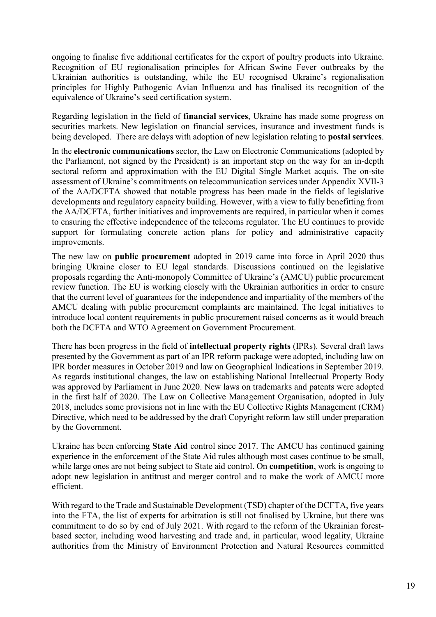ongoing to finalise five additional certificates for the export of poultry products into Ukraine. Recognition of EU regionalisation principles for African Swine Fever outbreaks by the Ukrainian authorities is outstanding, while the EU recognised Ukraine's regionalisation principles for Highly Pathogenic Avian Influenza and has finalised its recognition of the equivalence of Ukraine's seed certification system.

Regarding legislation in the field of **financial services**, Ukraine has made some progress on securities markets. New legislation on financial services, insurance and investment funds is being developed. There are delays with adoption of new legislation relating to **postal services**.

In the **electronic communications** sector, the Law on Electronic Communications (adopted by the Parliament, not signed by the President) is an important step on the way for an in-depth sectoral reform and approximation with the EU Digital Single Market acquis. The on-site assessment of Ukraine's commitments on telecommunication services under Appendix XVII-3 of the AA/DCFTA showed that notable progress has been made in the fields of legislative developments and regulatory capacity building. However, with a view to fully benefitting from the AA/DCFTA, further initiatives and improvements are required, in particular when it comes to ensuring the effective independence of the telecoms regulator. The EU continues to provide support for formulating concrete action plans for policy and administrative capacity improvements.

The new law on **public procurement** adopted in 2019 came into force in April 2020 thus bringing Ukraine closer to EU legal standards. Discussions continued on the legislative proposals regarding the Anti-monopoly Committee of Ukraine's (AMCU) public procurement review function. The EU is working closely with the Ukrainian authorities in order to ensure that the current level of guarantees for the independence and impartiality of the members of the AMCU dealing with public procurement complaints are maintained. The legal initiatives to introduce local content requirements in public procurement raised concerns as it would breach both the DCFTA and WTO Agreement on Government Procurement.

There has been progress in the field of **intellectual property rights** (IPRs). Several draft laws presented by the Government as part of an IPR reform package were adopted, including law on IPR border measures in October 2019 and law on Geographical Indications in September 2019. As regards institutional changes, the law on establishing National Intellectual Property Body was approved by Parliament in June 2020. New laws on trademarks and patents were adopted in the first half of 2020. The Law on Collective Management Organisation, adopted in July 2018, includes some provisions not in line with the EU Collective Rights Management (CRM) Directive, which need to be addressed by the draft Copyright reform law still under preparation by the Government.

Ukraine has been enforcing **State Aid** control since 2017. The AMCU has continued gaining experience in the enforcement of the State Aid rules although most cases continue to be small, while large ones are not being subject to State aid control. On **competition**, work is ongoing to adopt new legislation in antitrust and merger control and to make the work of AMCU more efficient.

With regard to the Trade and Sustainable Development (TSD) chapter of the DCFTA, five years into the FTA, the list of experts for arbitration is still not finalised by Ukraine, but there was commitment to do so by end of July 2021. With regard to the reform of the Ukrainian forestbased sector, including wood harvesting and trade and, in particular, wood legality, Ukraine authorities from the Ministry of Environment Protection and Natural Resources committed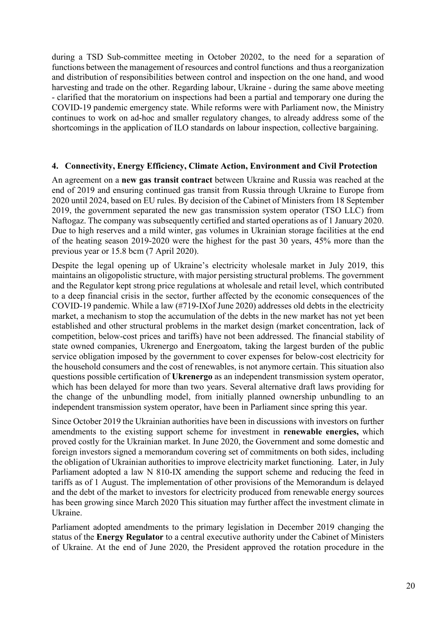during a TSD Sub-committee meeting in October 20202, to the need for a separation of functions between the management of resources and control functions and thus a reorganization and distribution of responsibilities between control and inspection on the one hand, and wood harvesting and trade on the other. Regarding labour, Ukraine - during the same above meeting - clarified that the moratorium on inspections had been a partial and temporary one during the COVID-19 pandemic emergency state. While reforms were with Parliament now, the Ministry continues to work on ad-hoc and smaller regulatory changes, to already address some of the shortcomings in the application of ILO standards on labour inspection, collective bargaining.

#### **4. Connectivity, Energy Efficiency, Climate Action, Environment and Civil Protection**

An agreement on a **new gas transit contract** between Ukraine and Russia was reached at the end of 2019 and ensuring continued gas transit from Russia through Ukraine to Europe from 2020 until 2024, based on EU rules. By decision of the Cabinet of Ministers from 18 September 2019, the government separated the new gas transmission system operator (TSO LLC) from Naftogaz. The company was subsequently certified and started operations as of 1 January 2020. Due to high reserves and a mild winter, gas volumes in Ukrainian storage facilities at the end of the heating season 2019-2020 were the highest for the past 30 years, 45% more than the previous year or 15.8 bcm (7 April 2020).

Despite the legal opening up of Ukraine's electricity wholesale market in July 2019, this maintains an oligopolistic structure, with major persisting structural problems. The government and the Regulator kept strong price regulations at wholesale and retail level, which contributed to a deep financial crisis in the sector, further affected by the economic consequences of the COVID-19 pandemic. While a law (#719-IXof June 2020) addresses old debts in the electricity market, a mechanism to stop the accumulation of the debts in the new market has not yet been established and other structural problems in the market design (market concentration, lack of competition, below-cost prices and tariffs) have not been addressed. The financial stability of state owned companies, Ukrenergo and Energoatom, taking the largest burden of the public service obligation imposed by the government to cover expenses for below-cost electricity for the household consumers and the cost of renewables, is not anymore certain. This situation also questions possible certification of **Ukrenergo** as an independent transmission system operator, which has been delayed for more than two years. Several alternative draft laws providing for the change of the unbundling model, from initially planned ownership unbundling to an independent transmission system operator, have been in Parliament since spring this year.

Since October 2019 the Ukrainian authorities have been in discussions with investors on further amendments to the existing support scheme for investment in **renewable energies,** which proved costly for the Ukrainian market. In June 2020, the Government and some domestic and foreign investors signed a memorandum covering set of commitments on both sides, including the obligation of Ukrainian authorities to improve electricity market functioning. Later, in July Parliament adopted a law N 810-IX amending the support scheme and reducing the feed in tariffs as of 1 August. The implementation of other provisions of the Memorandum is delayed and the debt of the market to investors for electricity produced from renewable energy sources has been growing since March 2020 This situation may further affect the investment climate in Ukraine.

Parliament adopted amendments to the primary legislation in December 2019 changing the status of the **Energy Regulator** to a central executive authority under the Cabinet of Ministers of Ukraine. At the end of June 2020, the President approved the rotation procedure in the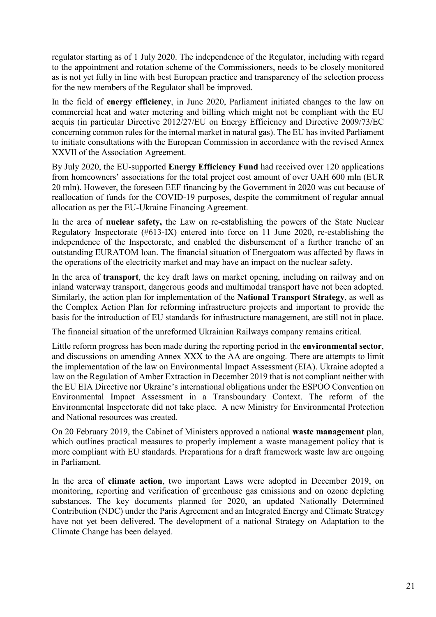regulator starting as of 1 July 2020. The independence of the Regulator, including with regard to the appointment and rotation scheme of the Commissioners, needs to be closely monitored as is not yet fully in line with best European practice and transparency of the selection process for the new members of the Regulator shall be improved.

In the field of **energy efficiency**, in June 2020, Parliament initiated changes to the law on commercial heat and water metering and billing which might not be compliant with the EU acquis (in particular Directive 2012/27/EU on Energy Efficiency and Directive 2009/73/EC concerning common rules for the internal market in natural gas). The EU has invited Parliament to initiate consultations with the European Commission in accordance with the revised Annex XXVII of the Association Agreement.

By July 2020, the EU-supported **Energy Efficiency Fund** had received over 120 applications from homeowners' associations for the total project cost amount of over UAH 600 mln (EUR 20 mln). However, the foreseen EEF financing by the Government in 2020 was cut because of reallocation of funds for the COVID-19 purposes, despite the commitment of regular annual allocation as per the EU-Ukraine Financing Agreement.

In the area of **nuclear safety,** the Law on re-establishing the powers of the State Nuclear Regulatory Inspectorate (#613-IX) entered into force on 11 June 2020, re-establishing the independence of the Inspectorate, and enabled the disbursement of a further tranche of an outstanding EURATOM loan. The financial situation of Energoatom was affected by flaws in the operations of the electricity market and may have an impact on the nuclear safety.

In the area of **transport**, the key draft laws on market opening, including on railway and on inland waterway transport, dangerous goods and multimodal transport have not been adopted. Similarly, the action plan for implementation of the **National Transport Strategy**, as well as the Complex Action Plan for reforming infrastructure projects and important to provide the basis for the introduction of EU standards for infrastructure management, are still not in place.

The financial situation of the unreformed Ukrainian Railways company remains critical.

Little reform progress has been made during the reporting period in the **environmental sector**, and discussions on amending Annex XXX to the AA are ongoing. There are attempts to limit the implementation of the law on Environmental Impact Assessment (EIA). Ukraine adopted a law on the Regulation of Amber Extraction in December 2019 that is not compliant neither with the EU EIA Directive nor Ukraine's international obligations under the ESPOO Convention on Environmental Impact Assessment in a Transboundary Context. The reform of the Environmental Inspectorate did not take place. A new Ministry for Environmental Protection and National resources was created.

On 20 February 2019, the Cabinet of Ministers approved a national **waste management** plan, which outlines practical measures to properly implement a waste management policy that is more compliant with EU standards. Preparations for a draft framework waste law are ongoing in Parliament.

In the area of **climate action**, two important Laws were adopted in December 2019, on monitoring, reporting and verification of greenhouse gas emissions and on ozone depleting substances. The key documents planned for 2020, an updated Nationally Determined Contribution (NDC) under the Paris Agreement and an Integrated Energy and Climate Strategy have not yet been delivered. The development of a national Strategy on Adaptation to the Climate Change has been delayed.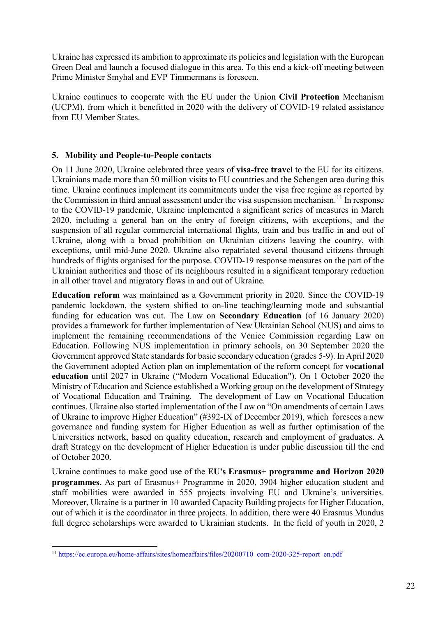Ukraine has expressed its ambition to approximate its policies and legislation with the European Green Deal and launch a focused dialogue in this area. To this end a kick-off meeting between Prime Minister Smyhal and EVP Timmermans is foreseen.

Ukraine continues to cooperate with the EU under the Union **Civil Protection** Mechanism (UCPM), from which it benefitted in 2020 with the delivery of COVID-19 related assistance from EU Member States.

## **5. Mobility and People-to-People contacts**

On 11 June 2020, Ukraine celebrated three years of **visa-free travel** to the EU for its citizens. Ukrainians made more than 50 million visits to EU countries and the Schengen area during this time. Ukraine continues implement its commitments under the visa free regime as reported by the Commission in third annual assessment under the visa suspension mechanism.<sup>[11](#page-22-0)</sup> In response to the COVID-19 pandemic, Ukraine implemented a significant series of measures in March 2020, including a general ban on the entry of foreign citizens, with exceptions, and the suspension of all regular commercial international flights, train and bus traffic in and out of Ukraine, along with a broad prohibition on Ukrainian citizens leaving the country, with exceptions, until mid-June 2020. Ukraine also repatriated several thousand citizens through hundreds of flights organised for the purpose. COVID-19 response measures on the part of the Ukrainian authorities and those of its neighbours resulted in a significant temporary reduction in all other travel and migratory flows in and out of Ukraine.

**Education reform** was maintained as a Government priority in 2020. Since the COVID-19 pandemic lockdown, the system shifted to on-line teaching/learning mode and substantial funding for education was cut. The Law on **Secondary Education** (of 16 January 2020) provides a framework for further implementation of New Ukrainian School (NUS) and aims to implement the remaining recommendations of the Venice Commission regarding Law on Education. Following NUS implementation in primary schools, on 30 September 2020 the Government approved State standards for basic secondary education (grades 5-9). In April 2020 the Government adopted Action plan on implementation of the reform concept for **vocational education** until 2027 in Ukraine ("Modern Vocational Education"). On 1 October 2020 the Ministry of Education and Science established a Working group on the development of Strategy of Vocational Education and Training. The development of Law on Vocational Education continues. Ukraine also started implementation of the Law on "On amendments of certain Laws of Ukraine to improve Higher Education" (#392-IX of December 2019), which foresees a new governance and funding system for Higher Education as well as further optimisation of the Universities network, based on quality education, research and employment of graduates. A draft Strategy on the development of Higher Education is under public discussion till the end of October 2020.

Ukraine continues to make good use of the **EU's Erasmus+ programme and Horizon 2020 programmes.** As part of Erasmus+ Programme in 2020, 3904 higher education student and staff mobilities were awarded in 555 projects involving EU and Ukraine's universities. Moreover, Ukraine is a partner in 10 awarded Capacity Building projects for Higher Education, out of which it is the coordinator in three projects. In addition, there were 40 Erasmus Mundus full degree scholarships were awarded to Ukrainian students. In the field of youth in 2020, 2

<span id="page-22-0"></span> $\overline{a}$ <sup>11</sup> [https://ec.europa.eu/home-affairs/sites/homeaffairs/files/20200710\\_com-2020-325-report\\_en.pdf](https://ec.europa.eu/home-affairs/sites/homeaffairs/files/20200710_com-2020-325-report_en.pdf)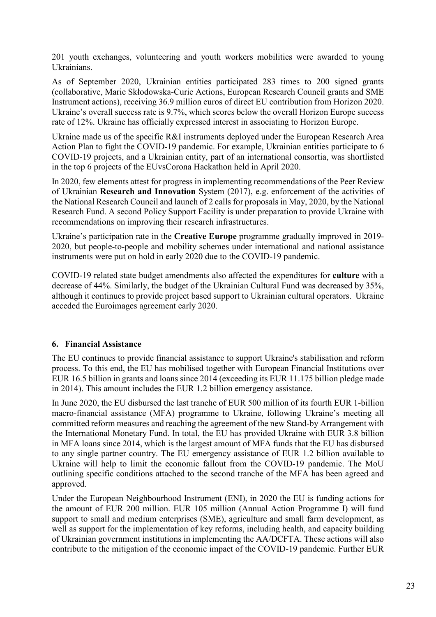201 youth exchanges, volunteering and youth workers mobilities were awarded to young Ukrainians.

As of September 2020, Ukrainian entities participated 283 times to 200 signed grants (collaborative, Marie Skłodowska-Curie Actions, European Research Council grants and SME Instrument actions), receiving 36.9 million euros of direct EU contribution from Horizon 2020. Ukraine's overall success rate is 9.7%, which scores below the overall Horizon Europe success rate of 12%. Ukraine has officially expressed interest in associating to Horizon Europe.

Ukraine made us of the specific R&I instruments deployed under the European Research Area Action Plan to fight the COVID-19 pandemic. For example, Ukrainian entities participate to 6 COVID-19 projects, and a Ukrainian entity, part of an international consortia, was shortlisted in the top 6 projects of the EUvsCorona Hackathon held in April 2020.

In 2020, few elements attest for progress in implementing recommendations of the Peer Review of Ukrainian **Research and Innovation** System (2017), e.g. enforcement of the activities of the National Research Council and launch of 2 calls for proposals in May, 2020, by the National Research Fund. A second Policy Support Facility is under preparation to provide Ukraine with recommendations on improving their research infrastructures.

Ukraine's participation rate in the **Creative Europe** programme gradually improved in 2019- 2020, but people-to-people and mobility schemes under international and national assistance instruments were put on hold in early 2020 due to the COVID-19 pandemic.

COVID-19 related state budget amendments also affected the expenditures for **culture** with a decrease of 44%. Similarly, the budget of the Ukrainian Cultural Fund was decreased by 35%, although it continues to provide project based support to Ukrainian cultural operators. Ukraine acceded the Euroimages agreement early 2020.

#### **6. Financial Assistance**

The EU continues to provide financial assistance to support Ukraine's stabilisation and reform process. To this end, the EU has mobilised together with European Financial Institutions over EUR 16.5 billion in grants and loans since 2014 (exceeding its EUR 11.175 billion pledge made in 2014). This amount includes the EUR 1.2 billion emergency assistance.

In June 2020, the EU disbursed the last tranche of EUR 500 million of its fourth EUR 1-billion macro-financial assistance (MFA) programme to Ukraine, following Ukraine's meeting all committed reform measures and reaching the agreement of the new Stand-by Arrangement with the International Monetary Fund. In total, the EU has provided Ukraine with EUR 3.8 billion in MFA loans since 2014, which is the largest amount of MFA funds that the EU has disbursed to any single partner country. The EU emergency assistance of EUR 1.2 billion available to Ukraine will help to limit the economic fallout from the COVID-19 pandemic. The MoU outlining specific conditions attached to the second tranche of the MFA has been agreed and approved.

Under the European Neighbourhood Instrument (ENI), in 2020 the EU is funding actions for the amount of EUR 200 million. EUR 105 million (Annual Action Programme I) will fund support to small and medium enterprises (SME), agriculture and small farm development, as well as support for the implementation of key reforms, including health, and capacity building of Ukrainian government institutions in implementing the AA/DCFTA. These actions will also contribute to the mitigation of the economic impact of the COVID-19 pandemic. Further EUR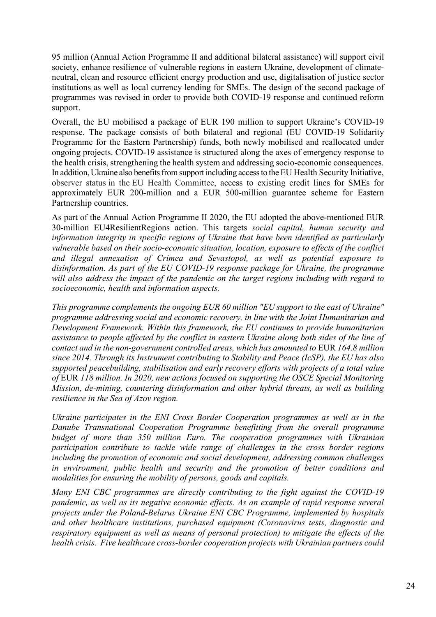95 million (Annual Action Programme II and additional bilateral assistance) will support civil society, enhance resilience of vulnerable regions in eastern Ukraine, development of climateneutral, clean and resource efficient energy production and use, digitalisation of justice sector institutions as well as local currency lending for SMEs. The design of the second package of programmes was revised in order to provide both COVID-19 response and continued reform support.

Overall, the EU mobilised a package of EUR 190 million to support Ukraine's COVID-19 response. The package consists of both bilateral and regional (EU COVID-19 Solidarity Programme for the Eastern Partnership) funds, both newly mobilised and reallocated under ongoing projects. COVID-19 assistance is structured along the axes of emergency response to the health crisis, strengthening the health system and addressing socio-economic consequences. In addition, Ukraine also benefits from support including access to the EU Health Security Initiative, observer status in the EU Health Committee, access to existing credit lines for SMEs for approximately EUR 200-million and a EUR 500-million guarantee scheme for Eastern Partnership countries.

As part of the Annual Action Programme II 2020, the EU adopted the above-mentioned EUR 30-million EU4ResilientRegions action. This targets *social capital, human security and information integrity in specific regions of Ukraine that have been identified as particularly vulnerable based on their socio-economic situation, location, exposure to effects of the conflict and illegal annexation of Crimea and Sevastopol, as well as potential exposure to disinformation. As part of the EU COVID-19 response package for Ukraine, the programme will also address the impact of the pandemic on the target regions including with regard to socioeconomic, health and information aspects.* 

*This programme complements the ongoing EUR 60 million "EU support to the east of Ukraine" programme addressing social and economic recovery, in line with the Joint Humanitarian and Development Framework. Within this framework, the EU continues to provide humanitarian assistance to people affected by the conflict in eastern Ukraine along both sides of the line of contact and in the non-government controlled areas, which has amounted to* EUR *164.8 million since 2014. Through its Instrument contributing to Stability and Peace (IcSP), the EU has also supported peacebuilding, stabilisation and early recovery efforts with projects of a total value of* EUR *118 million. In 2020, new actions focused on supporting the OSCE Special Monitoring Mission, de-mining, countering disinformation and other hybrid threats, as well as building resilience in the Sea of Azov region.*

*Ukraine participates in the ENI Cross Border Cooperation programmes as well as in the Danube Transnational Cooperation Programme benefitting from the overall programme budget of more than 350 million Euro. The cooperation programmes with Ukrainian participation contribute to tackle wide range of challenges in the cross border regions including the promotion of economic and social development, addressing common challenges in environment, public health and security and the promotion of better conditions and modalities for ensuring the mobility of persons, goods and capitals.*

*Many ENI CBC programmes are directly contributing to the fight against the COVID-19 pandemic, as well as its negative economic effects. As an example of rapid response several projects under the Poland-Belarus Ukraine ENI CBC Programme, implemented by hospitals and other healthcare institutions, purchased equipment (Coronavirus tests, diagnostic and respiratory equipment as well as means of personal protection) to mitigate the effects of the health crisis. Five healthcare cross-border cooperation projects with Ukrainian partners could*